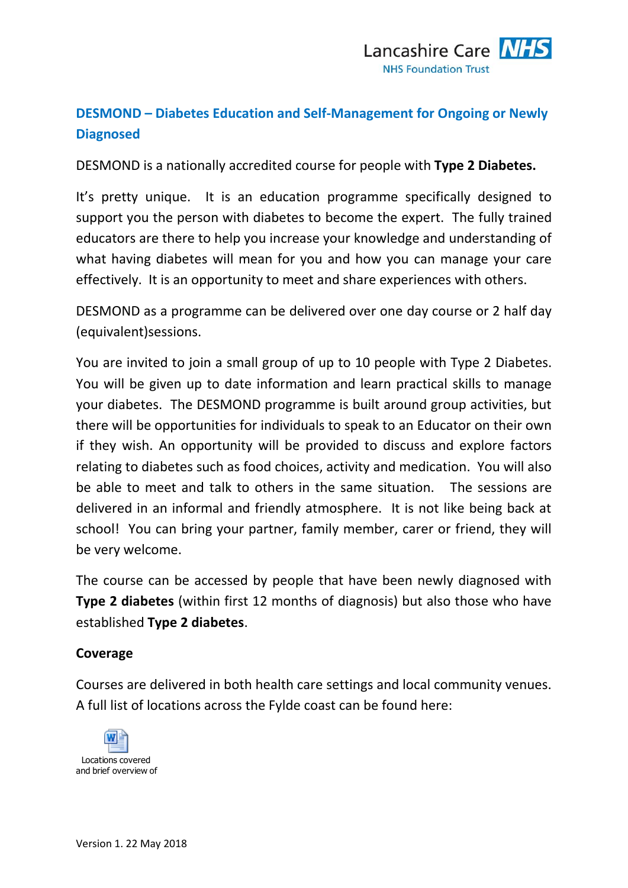# **DESMOND – Diabetes Education and Self-Management for Ongoing or Newly Diagnosed**

DESMOND is a nationally accredited course for people with **Type 2 Diabetes.**

It's pretty unique. It is an education programme specifically designed to support you the person with diabetes to become the expert. The fully trained educators are there to help you increase your knowledge and understanding of what having diabetes will mean for you and how you can manage your care effectively. It is an opportunity to meet and share experiences with others.

DESMOND as a programme can be delivered over one day course or 2 half day (equivalent)sessions.

You are invited to join a small group of up to 10 people with Type 2 Diabetes. You will be given up to date information and learn practical skills to manage your diabetes. The DESMOND programme is built around group activities, but there will be opportunities for individuals to speak to an Educator on their own if they wish. An opportunity will be provided to discuss and explore factors relating to diabetes such as food choices, activity and medication. You will also be able to meet and talk to others in the same situation. The sessions are delivered in an informal and friendly atmosphere. It is not like being back at school! You can bring your partner, family member, carer or friend, they will be very welcome.

The course can be accessed by people that have been newly diagnosed with **Type 2 diabetes** (within first 12 months of diagnosis) but also those who have established **Type 2 diabetes**.

#### **Coverage**

Courses are delivered in both health care settings and local community venues. A full list of locations across the Fylde coast can be found here: